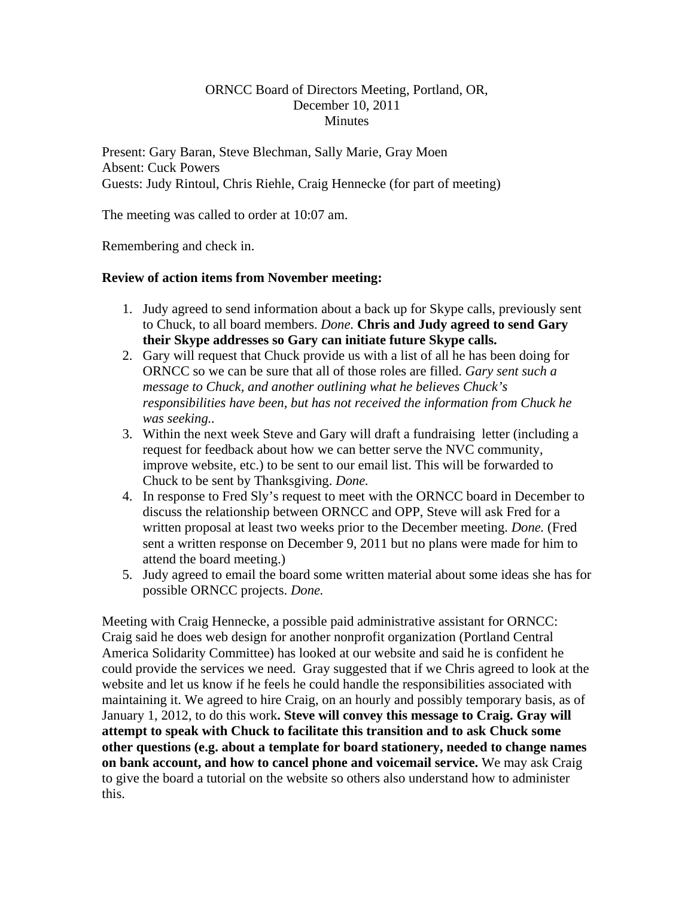## ORNCC Board of Directors Meeting, Portland, OR, December 10, 2011 **Minutes**

Present: Gary Baran, Steve Blechman, Sally Marie, Gray Moen Absent: Cuck Powers Guests: Judy Rintoul, Chris Riehle, Craig Hennecke (for part of meeting)

The meeting was called to order at 10:07 am.

Remembering and check in.

# **Review of action items from November meeting:**

- 1. Judy agreed to send information about a back up for Skype calls, previously sent to Chuck, to all board members. *Done.* **Chris and Judy agreed to send Gary their Skype addresses so Gary can initiate future Skype calls.**
- 2. Gary will request that Chuck provide us with a list of all he has been doing for ORNCC so we can be sure that all of those roles are filled. *Gary sent such a message to Chuck, and another outlining what he believes Chuck's responsibilities have been, but has not received the information from Chuck he was seeking..*
- 3. Within the next week Steve and Gary will draft a fundraising letter (including a request for feedback about how we can better serve the NVC community, improve website, etc.) to be sent to our email list. This will be forwarded to Chuck to be sent by Thanksgiving. *Done.*
- 4. In response to Fred Sly's request to meet with the ORNCC board in December to discuss the relationship between ORNCC and OPP, Steve will ask Fred for a written proposal at least two weeks prior to the December meeting. *Done.* (Fred sent a written response on December 9, 2011 but no plans were made for him to attend the board meeting.)
- 5. Judy agreed to email the board some written material about some ideas she has for possible ORNCC projects. *Done.*

Meeting with Craig Hennecke, a possible paid administrative assistant for ORNCC: Craig said he does web design for another nonprofit organization (Portland Central America Solidarity Committee) has looked at our website and said he is confident he could provide the services we need. Gray suggested that if we Chris agreed to look at the website and let us know if he feels he could handle the responsibilities associated with maintaining it. We agreed to hire Craig, on an hourly and possibly temporary basis, as of January 1, 2012, to do this work**. Steve will convey this message to Craig. Gray will attempt to speak with Chuck to facilitate this transition and to ask Chuck some other questions (e.g. about a template for board stationery, needed to change names on bank account, and how to cancel phone and voicemail service.** We may ask Craig to give the board a tutorial on the website so others also understand how to administer this.